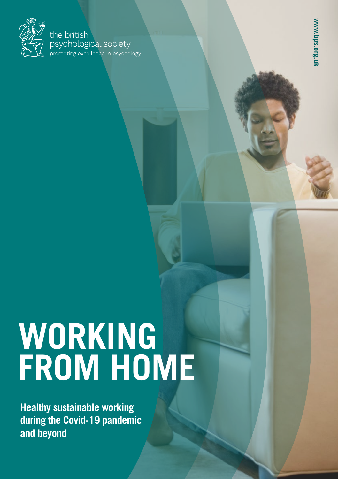

#### the british psychological society promoting excellence in psychology

# **WORKING FROM HOME**

**Healthy sustainable working during the Covid-19 pandemic and beyond**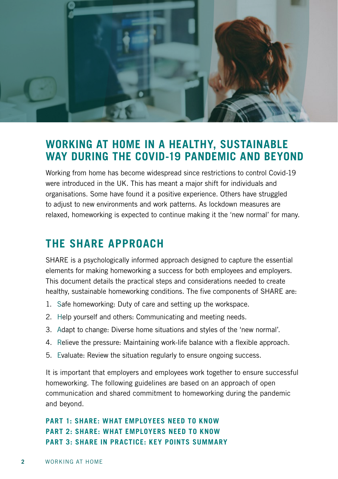

## **WORKING AT HOME IN A HEALTHY, SUSTAINABLE WAY DURING THE COVID-19 PANDEMIC AND BEYOND**

Working from home has become widespread since restrictions to control Covid-19 were introduced in the UK. This has meant a major shift for individuals and organisations. Some have found it a positive experience. Others have struggled to adjust to new environments and work patterns. As lockdown measures are relaxed, homeworking is expected to continue making it the 'new normal' for many.

# **THE SHARE APPROACH**

SHARE is a psychologically informed approach designed to capture the essential elements for making homeworking a success for both employees and employers. This document details the practical steps and considerations needed to create healthy, sustainable homeworking conditions. The five components of SHARE are:

- 1. Safe homeworking: Duty of care and setting up the workspace.
- 2. Help yourself and others: Communicating and meeting needs.
- 3. Adapt to change: Diverse home situations and styles of the 'new normal'.
- 4. Relieve the pressure: Maintaining work-life balance with a flexible approach.
- 5. Evaluate: Review the situation regularly to ensure ongoing success.

It is important that employers and employees work together to ensure successful homeworking. The following guidelines are based on an approach of open communication and shared commitment to homeworking during the pandemic and beyond.

#### **PART 1: SHARE: WHAT EMPLOYEES NEED TO KNOW PART 2: SHARE: WHAT EMPLOYERS NEED TO KNOW PART 3: SHARE IN PRACTICE: KEY POINTS SUMMARY**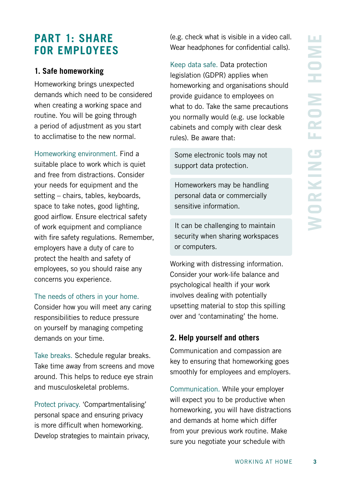# **PART 1: SHARE FOR EMPLOYEES**

#### **1. Safe homeworking**

Homeworking brings unexpected demands which need to be considered when creating a working space and routine. You will be going through a period of adjustment as you start to acclimatise to the new normal.

Homeworking environment. Find a suitable place to work which is quiet and free from distractions. Consider your needs for equipment and the setting – chairs, tables, keyboards, space to take notes, good lighting, good airflow. Ensure electrical safety of work equipment and compliance with fire safety regulations. Remember, employers have a duty of care to protect the health and safety of employees, so you should raise any concerns you experience.

The needs of others in your home.

Consider how you will meet any caring responsibilities to reduce pressure on yourself by managing competing demands on your time.

Take breaks. Schedule regular breaks. Take time away from screens and move around. This helps to reduce eye strain and musculoskeletal problems.

Protect privacy. 'Compartmentalising' personal space and ensuring privacy is more difficult when homeworking. Develop strategies to maintain privacy, (e.g. check what is visible in a video call. Wear headphones for confidential calls).

Keep data safe. Data protection legislation (GDPR) applies when homeworking and organisations should provide guidance to employees on what to do. Take the same precautions you normally would (e.g. use lockable cabinets and comply with clear desk rules). Be aware that:

Some electronic tools may not support data protection.

Homeworkers may be handling personal data or commercially sensitive information.

It can be challenging to maintain security when sharing workspaces or computers.

Working with distressing information. Consider your work-life balance and psychological health if your work involves dealing with potentially upsetting material to stop this spilling over and 'contaminating' the home.

#### **2. Help yourself and others**

Communication and compassion are key to ensuring that homeworking goes smoothly for employees and employers.

Communication. While your employer will expect you to be productive when homeworking, you will have distractions and demands at home which differ from your previous work routine. Make sure you negotiate your schedule with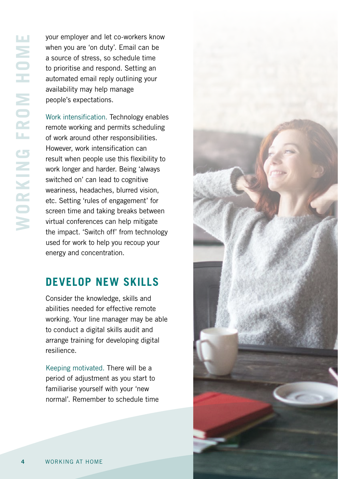your employer and let co-workers know when you are 'on duty'. Email can be a source of stress, so schedule time to prioritise and respond. Setting an automated email reply outlining your availability may help manage people's expectations.

Work intensification. Technology enables remote working and permits scheduling of work around other responsibilities. However, work intensification can result when people use this flexibility to work longer and harder. Being 'always switched on' can lead to cognitive weariness, headaches, blurred vision, etc. Setting 'rules of engagement' for screen time and taking breaks between virtual conferences can help mitigate the impact. 'Switch off' from technology used for work to help you recoup your energy and concentration.

# **DEVELOP NEW SKILLS**

Consider the knowledge, skills and abilities needed for effective remote working. Your line manager may be able to conduct a digital skills audit and arrange training for developing digital resilience.

Keeping motivated. There will be a period of adjustment as you start to familiarise yourself with your 'new normal'. Remember to schedule time

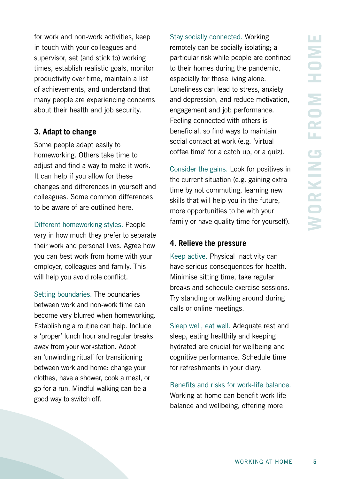for work and non-work activities, keep in touch with your colleagues and supervisor, set (and stick to) working times, establish realistic goals, monitor productivity over time, maintain a list of achievements, and understand that many people are experiencing concerns about their health and job security.

#### **3. Adapt to change**

Some people adapt easily to homeworking. Others take time to adjust and find a way to make it work. It can help if you allow for these changes and differences in yourself and colleagues. Some common differences to be aware of are outlined here.

Different homeworking styles. People vary in how much they prefer to separate their work and personal lives. Agree how you can best work from home with your employer, colleagues and family. This will help you avoid role conflict.

Setting boundaries. The boundaries between work and non-work time can become very blurred when homeworking. Establishing a routine can help. Include a 'proper' lunch hour and regular breaks away from your workstation. Adopt an 'unwinding ritual' for transitioning between work and home: change your clothes, have a shower, cook a meal, or go for a run. Mindful walking can be a good way to switch off.

Stay socially connected. Working remotely can be socially isolating; a particular risk while people are confined to their homes during the pandemic, especially for those living alone. Loneliness can lead to stress, anxiety and depression, and reduce motivation, engagement and job performance. Feeling connected with others is beneficial, so find ways to maintain social contact at work (e.g. 'virtual coffee time' for a catch up, or a quiz).

Consider the gains. Look for positives in the current situation (e.g. gaining extra time by not commuting, learning new skills that will help you in the future, more opportunities to be with your family or have quality time for yourself).

#### **4. Relieve the pressure**

Keep active. Physical inactivity can have serious consequences for health. Minimise sitting time, take regular breaks and schedule exercise sessions. Try standing or walking around during calls or online meetings.

Sleep well, eat well. Adequate rest and sleep, eating healthily and keeping hydrated are crucial for wellbeing and cognitive performance. Schedule time for refreshments in your diary.

Benefits and risks for work-life balance. Working at home can benefit work-life balance and wellbeing, offering more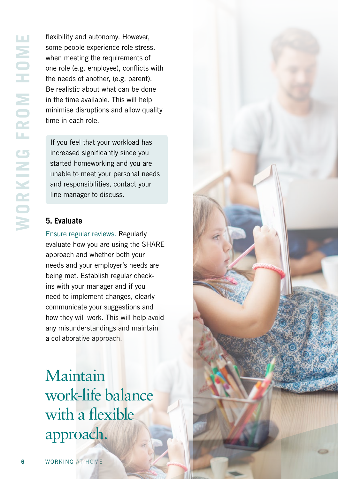flexibility and autonomy. However, some people experience role stress, when meeting the requirements of one role (e.g. employee), conflicts with the needs of another, (e.g. parent). Be realistic about what can be done in the time available. This will help minimise disruptions and allow quality time in each role.

If you feel that your workload has increased significantly since you started homeworking and you are unable to meet your personal needs and responsibilities, contact your line manager to discuss.

#### **5. Evaluate**

Ensure regular reviews. Regularly evaluate how you are using the SHARE approach and whether both your needs and your employer's needs are being met. Establish regular checkins with your manager and if you need to implement changes, clearly communicate your suggestions and how they will work. This will help avoid any misunderstandings and maintain a collaborative approach.

Maintain work-life balance with a flexible approach.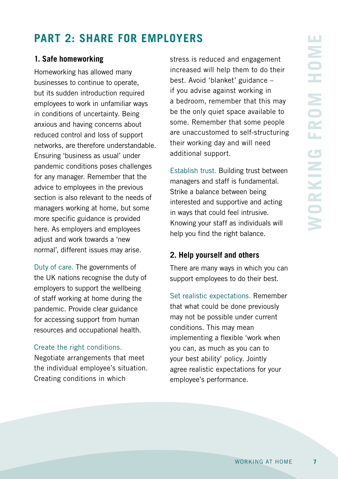# **PART 2: SHARE FOR EMPLOYERS**

#### **1. Safe homeworking**

Homeworking has allowed many businesses to continue to operate, but its sudden introduction required employees to work in unfamiliar ways in conditions of uncertainty. Being anxious and having concerns about reduced control and loss of support networks, are therefore understandable. Ensuring 'business as usual' under pandemic conditions poses challenges for any manager. Remember that the advice to employees in the previous section is also relevant to the needs of managers working at home, but some more specific guidance is provided here. As employers and employees adjust and work towards a 'new normal', different issues may arise.

Duty of care. The governments of the UK nations recognise the duty of employers to support the wellbeing of staff working at home during the pandemic. Provide clear guidance for accessing support from human resources and occupational health.

#### Create the right conditions.

Negotiate arrangements that meet the individual employee's situation. Creating conditions in which

stress is reduced and engagement increased will help them to do their best. Avoid 'blanket' guidance – if you advise against working in a bedroom, remember that this may be the only quiet space available to some. Remember that some people are unaccustomed to self-structuring their working day and will need additional support.

Establish trust. Building trust between managers and staff is fundamental. Strike a balance between being interested and supportive and acting in ways that could feel intrusive. Knowing your staff as individuals will help you find the right balance.

#### **2. Help yourself and others**

There are many ways in which you can support employees to do their best.

Set realistic expectations. Remember that what could be done previously may not be possible under current conditions. This may mean implementing a flexible 'work when you can, as much as you can to your best ability' policy. Jointly agree realistic expectations for your employee's performance.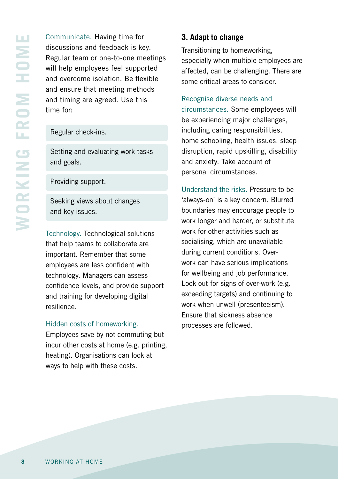Communicate. Having time for discussions and feedback is key. Regular team or one-to-one meetings will help employees feel supported and overcome isolation. Be flexible and ensure that meeting methods and timing are agreed. Use this time for:

Regular check-ins.

Setting and evaluating work tasks and goals.

Providing support.

Seeking views about changes and key issues.

Technology. Technological solutions that help teams to collaborate are important. Remember that some employees are less confident with technology. Managers can assess confidence levels, and provide support and training for developing digital resilience.

#### Hidden costs of homeworking.

Employees save by not commuting but incur other costs at home (e.g. printing, heating). Organisations can look at ways to help with these costs.

#### **3. Adapt to change**

Transitioning to homeworking, especially when multiple employees are affected, can be challenging. There are some critical areas to consider.

Recognise diverse needs and

circumstances. Some employees will be experiencing major challenges, including caring responsibilities, home schooling, health issues, sleep disruption, rapid upskilling, disability and anxiety. Take account of personal circumstances.

Understand the risks. Pressure to be 'always-on' is a key concern. Blurred boundaries may encourage people to work longer and harder, or substitute work for other activities such as socialising, which are unavailable during current conditions. Overwork can have serious implications for wellbeing and job performance. Look out for signs of over-work (e.g. exceeding targets) and continuing to work when unwell (presenteeism). Ensure that sickness absence processes are followed.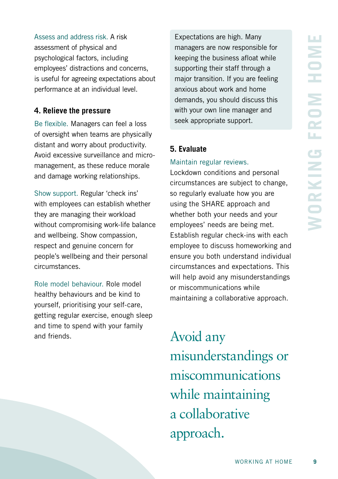Assess and address risk. A risk assessment of physical and psychological factors, including employees' distractions and concerns, is useful for agreeing expectations about performance at an individual level.

#### **4. Relieve the pressure**

Be flexible. Managers can feel a loss of oversight when teams are physically distant and worry about productivity. Avoid excessive surveillance and micromanagement, as these reduce morale and damage working relationships.

Show support. Regular 'check ins' with employees can establish whether they are managing their workload without compromising work-life balance and wellbeing. Show compassion, respect and genuine concern for people's wellbeing and their personal circumstances.

Role model behaviour. Role model healthy behaviours and be kind to yourself, prioritising your self-care, getting regular exercise, enough sleep and time to spend with your family and friends.

Expectations are high. Many managers are now responsible for keeping the business afloat while supporting their staff through a major transition. If you are feeling anxious about work and home demands, you should discuss this with your own line manager and seek appropriate support.

#### **5. Evaluate**

#### Maintain regular reviews.

Lockdown conditions and personal circumstances are subject to change, so regularly evaluate how you are using the SHARE approach and whether both your needs and your employees' needs are being met. Establish regular check-ins with each employee to discuss homeworking and ensure you both understand individual circumstances and expectations. This will help avoid any misunderstandings or miscommunications while maintaining a collaborative approach.

Avoid any misunderstandings or miscommunications while maintaining a collaborative approach.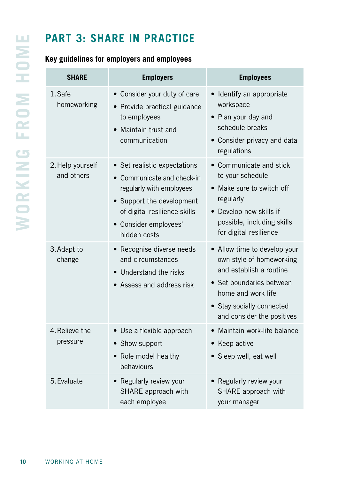# **PART 3: SHARE IN PRACTICE**

### **Key guidelines for employers and employees**

| <b>SHARE</b>                   | <b>Employers</b>                                                                                                                                                                           | <b>Employees</b>                                                                                                                                                                                 |
|--------------------------------|--------------------------------------------------------------------------------------------------------------------------------------------------------------------------------------------|--------------------------------------------------------------------------------------------------------------------------------------------------------------------------------------------------|
| 1. Safe<br>homeworking         | • Consider your duty of care<br>• Provide practical guidance<br>to employees<br>Maintain trust and<br>communication                                                                        | • Identify an appropriate<br>workspace<br>• Plan your day and<br>schedule breaks<br>• Consider privacy and data<br>regulations                                                                   |
| 2. Help yourself<br>and others | • Set realistic expectations<br>Communicate and check-in<br>regularly with employees<br>• Support the development<br>of digital resilience skills<br>• Consider employees'<br>hidden costs | • Communicate and stick<br>to your schedule<br>• Make sure to switch off<br>regularly<br>• Develop new skills if<br>possible, including skills<br>for digital resilience                         |
| 3. Adapt to<br>change          | • Recognise diverse needs<br>and circumstances<br>• Understand the risks<br>• Assess and address risk                                                                                      | • Allow time to develop your<br>own style of homeworking<br>and establish a routine<br>• Set boundaries between<br>home and work life<br>• Stay socially connected<br>and consider the positives |
| 4. Relieve the<br>pressure     | • Use a flexible approach<br>Show support<br>• Role model healthy<br>behaviours                                                                                                            | • Maintain work-life balance<br>• Keep active<br>· Sleep well, eat well                                                                                                                          |
| 5. Evaluate                    | • Regularly review your<br>SHARE approach with<br>each employee                                                                                                                            | • Regularly review your<br>SHARE approach with<br>your manager                                                                                                                                   |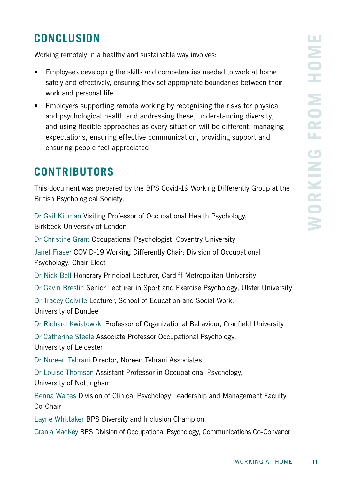# **CONCLUSION**

Working remotely in a healthy and sustainable way involves:

- Employees developing the skills and competencies needed to work at home safely and effectively, ensuring they set appropriate boundaries between their work and personal life.
- Employers supporting remote working by recognising the risks for physical and psychological health and addressing these, understanding diversity, and using flexible approaches as every situation will be different, managing expectations, ensuring effective communication, providing support and ensuring people feel appreciated.

# **CONTRIBUTORS**

This document was prepared by the BPS Covid-19 Working Differently Group at the British Psychological Society.

Dr Gail Kinman Visiting Professor of Occupational Health Psychology, Birkbeck University of London

Dr Christine Grant Occupational Psychologist, Coventry University

Janet Fraser COVID-19 Working Differently Chair; Division of Occupational Psychology, Chair Elect

Dr Nick Bell Honorary Principal Lecturer, Cardiff Metropolitan University

Dr Gavin Breslin Senior Lecturer in Sport and Exercise Psychology, Ulster University

Dr Tracey Colville Lecturer, School of Education and Social Work, University of Dundee

Dr Richard Kwiatowski Professor of Organizational Behaviour, Cranfield University

Dr Catherine Steele Associate Professor Occupational Psychology, University of Leicester

Dr Noreen Tehrani Director, Noreen Tehrani Associates

Dr Louise Thomson Assistant Professor in Occupational Psychology, University of Nottingham

Benna Waites Division of Clinical Psychology Leadership and Management Faculty Co-Chair

Layne Whittaker BPS Diversity and Inclusion Champion

Grania MacKey BPS Division of Occupational Psychology, Communications Co-Convenor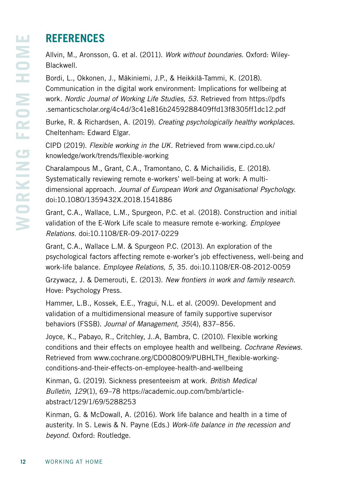# **REFERENCES**

Allvin, M., Aronsson, G. et al. (2011). *Work without boundaries*. Oxford: Wiley-Blackwell.

Bordi, L., Okkonen, J., Mäkiniemi, J.P., & Heikkilä-Tammi, K. (2018). Communication in the digital work environment: Implications for wellbeing at work. *Nordic Journal of Working Life Studies, 53*. Retrieved from https://pdfs .semanticscholar.org/4c4d/3c41e816b2459288409ffd13f8305ff1dc12.pdf

Burke, R. & Richardsen, A. (2019). *Creating psychologically healthy workplaces*. Cheltenham: Edward Elgar.

CIPD (2019). *Flexible working in the UK*. Retrieved from www.cipd.co.uk/ knowledge/work/trends/flexible-working

Charalampous M., Grant, C.A., Tramontano, C. & Michailidis, E. (2018). Systematically reviewing remote e-workers' well-being at work: A multidimensional approach. *Journal of European Work and Organisational Psychology*. doi:10.1080/1359432X.2018.1541886

Grant, C.A., Wallace, L.M., Spurgeon, P.C. et al. (2018). Construction and initial validation of the E-Work Life scale to measure remote e-working. *Employee Relations*. doi:10.1108/ER-09-2017-0229

Grant, C.A., Wallace L.M. & Spurgeon P.C. (2013). An exploration of the psychological factors affecting remote e-worker's job effectiveness, well-being and work-life balance. *Employee Relations, 5*, 35. doi:10.1108/ER-08-2012-0059

Grzywacz, J. & Demerouti, E. (2013). *New frontiers in work and family research*. Hove: Psychology Press.

Hammer, L.B., Kossek, E.E., Yragui, N.L. et al. (2009). Development and validation of a multidimensional measure of family supportive supervisor behaviors (FSSB). *Journal of Management, 35*(4), 837–856.

Joyce, K., Pabayo, R., Critchley, J..A, Bambra, C. (2010). Flexible working conditions and their effects on employee health and wellbeing. *Cochrane Reviews*. Retrieved from www.cochrane.org/CD008009/PUBHLTH\_flexible-workingconditions-and-their-effects-on-employee-health-and-wellbeing

Kinman, G. (2019). Sickness presenteeism at work. *British Medical Bulletin, 129*(1), 69–78 https://academic.oup.com/bmb/articleabstract/129/1/69/5288253

Kinman, G. & McDowall, A. (2016). Work life balance and health in a time of austerity. In S. Lewis & N. Payne (Eds.) *Work-life balance in the recession and beyond*. Oxford: Routledge.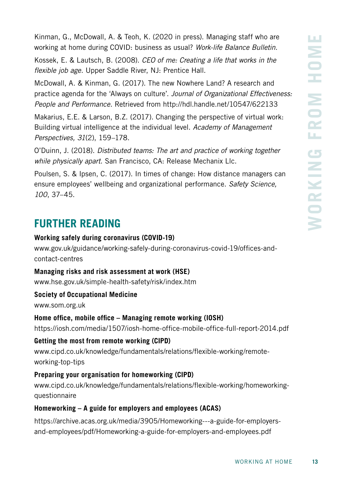Kinman, G., McDowall, A. & Teoh, K. (2020 in press). Managing staff who are working at home during COVID: business as usual? *Work-life Balance Bulletin*.

Kossek, E. & Lautsch, B. (2008). *CEO of me: Creating a life that works in the flexible job age*. Upper Saddle River, NJ: Prentice Hall.

McDowall, A. & Kinman, G. (2017). The new Nowhere Land? A research and practice agenda for the 'Always on culture'. *Journal of Organizational Effectiveness: People and Performance*. Retrieved from http://hdl.handle.net/10547/622133

Makarius, E.E. & Larson, B.Z. (2017). Changing the perspective of virtual work: Building virtual intelligence at the individual level. *Academy of Management Perspectives, 31*(2), 159–178.

O'Duinn, J. (2018). *Distributed teams: The art and practice of working together while physically apart*. San Francisco, CA: Release Mechanix Llc.

Poulsen, S. & Ipsen, C. (2017). In times of change: How distance managers can ensure employees' wellbeing and organizational performance. *Safety Science, 100*, 37–45.

# **FURTHER READING**

#### **Working safely during coronavirus (COVID-19)**

www.gov.uk/guidance/working-safely-during-coronavirus-covid-19/offices-andcontact-centres

#### **Managing risks and risk assessment at work (HSE)**

www.hse.gov.uk/simple-health-safety/risk/index.htm

#### **Society of Occupational Medicine**

www.som.org.uk

#### **Home office, mobile office – Managing remote working (IOSH)**

https://iosh.com/media/1507/iosh-home-office-mobile-office-full-report-2014.pdf

#### **Getting the most from remote working (CIPD)**

www.cipd.co.uk/knowledge/fundamentals/relations/flexible-working/remoteworking-top-tips

#### **Preparing your organisation for homeworking (CIPD)**

www.cipd.co.uk/knowledge/fundamentals/relations/flexible-working/homeworkingquestionnaire

#### **Homeworking – A guide for employers and employees (ACAS)**

https://archive.acas.org.uk/media/3905/Homeworking---a-guide-for-employersand-employees/pdf/Homeworking-a-guide-for-employers-and-employees.pdf